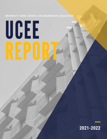# **UNIVERSITY-WIDE COUNCI L ON ENGINEERING EDUCATION**

# UCEE

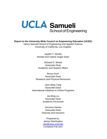

**Report to the University-Wide Council on Engineering Education (UCEE)** Henry Samueli School of Engineering and Applied Science

University of California, Los Angeles

Jayathi Y. Murthy Ronald And Valerie Sugar Dean

Richard D. Wesel Associate Dean Academic and Student Affairs

Bruce Dunn Associate Dean Research and Physical Resources

Associate Dean International Initiatives & Online Programs Jenn-Ming Yang

> Jia-Ming Liu Associate Dean Academic Personnel

Diversity and Inclusion Veronica Santos Associate Dean

Completed Fall 2021 James Washington Prepared by: [Jaw@seas.ucla.edu](mailto:Jaw@seas.ucla.edu)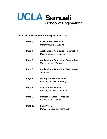

# **Admission, Enrollment & Degree Statistics**

| Page 3  | <b>Fall Quarter Enrollment</b>                                            |
|---------|---------------------------------------------------------------------------|
|         | Undergraduate & Graduate                                                  |
| Page 4  | <b>Applications, Admission, Registration</b><br>Undergraduate (Freshmen)  |
| Page 5  | <b>Applications, Admission, Registration</b><br>Undergraduate (Transfers) |
| Page 6  | <b>Applications, Admission, Registration</b><br>Graduate                  |
| Page 7  | <b>Undergraduate Enrollment</b><br>Women, Minorities & Foreign            |
| Page 8  | <b>Graduate Enrollment</b>                                                |
|         | Women, Minorities & Foreign                                               |
| Page 9  | Degrees Granted - Three Year                                              |
|         | <b>BS, MS &amp; PhD Degrees</b>                                           |
| Page 10 | <b>Faculty FTE</b>                                                        |
|         | <b>Current Recruitment Information</b>                                    |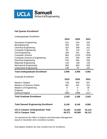

# **Fall Quarter Enrollment\***

| <b>Undergraduate Enrollment</b>             |        |          |                |
|---------------------------------------------|--------|----------|----------------|
|                                             | 2019   | 2020     | 2021           |
| Aerospace Engineering                       | 231    | 244      | 254            |
| Bioengineering                              | 293    | 291      | 310            |
| <b>Chemical Engineering</b>                 | 323    | 308      | 312            |
| <b>Computer Engineering</b>                 | 95     | 116      | 117            |
| <b>Civil Engineering</b>                    | 328    | 341      | 356            |
| <b>Computer Science</b>                     | 964    | 1019     | 1039           |
| <b>Computer Science &amp; Engineering</b>   | 297    | 258      | 249            |
| <b>Electrical Engineering</b>               | 578    | 564      | 528            |
| <b>Materials Engineering</b>                | 143    | 138      | 143            |
| <b>Mechanical Engineering</b>               | 568    | 600      | 632            |
| <b>Undeclared Engineering</b>               | 136    | 79       | 141            |
| <b>Total Undergraduate Enrollment</b>       | 3,956  | 3,958    | 4,081          |
| <b>Graduate Enrollment</b>                  |        |          |                |
|                                             | 2019   | 2020     | 2021           |
| Master's Degree                             | 748    | 659      | 837            |
| Master's of Science Online                  | 362    | 441      | 514            |
| Master's of Engineering                     | 0      | 0        | 35             |
| Engineer                                    | 1      | $\Omega$ | $\overline{0}$ |
| <b>Doctoral Degree</b>                      | 1082   | 1088     | 1117           |
| <b>Total Graduate Enrollment</b>            | 2,193  | 2,188    | 2,503          |
| <b>Total Samueli Engineering Enrollment</b> | 6,149  | 6,146    | 6,584          |
| <b>UCLA Campus Undergraduate Total</b>      | 31,543 | 31,636   | 32,119         |
| <b>UCLA Campus Total</b>                    | 44,371 | 44,589   | 46,113         |

*\*As reported by the Office of Analysis and Information Management based on November 2021 enrollment numbers*

*Dual degree students are only counted once for enrollment.*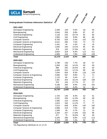



# School of Engineering<br>
School of Engineering<br>
Undergraduate Freshman Admission Statistics\*

| 2021-2022                                 |        |       |       |                 |     |
|-------------------------------------------|--------|-------|-------|-----------------|-----|
| Aerospace Engineering                     | 2,269  | 128   | 5.6%  | 50              | 50  |
| Bioengineering                            | 2,644  | 259   | 9.8%  | 87              | 87  |
| <b>Chemical Engineering</b>               | 1,128  | 234   | 20.7% | 82              | 80  |
| <b>Civil Engineering</b>                  | 1,965  | 192   | 9.8%  | 86              | 86  |
| <b>Computer Science</b>                   | 9,793  | 529   | 5.4%  | 152             | 152 |
| <b>Computer Science &amp; Engineering</b> | 3,421  | 256   | 7.5%  | 74              | 74  |
| <b>Computer Engineering</b>               | 1,441  | 34    | 2.4%  | 16              | 16  |
| <b>Electrical Engineering</b>             | 1,650  | 240   | 14.5% | 85              | 84  |
| <b>Materials Engineering</b>              | 378    | 105   | 27.8% | 40              | 39  |
| <b>Mechanical Engineering</b>             | 3,824  | 318   | 8.3%  | 113             | 111 |
| <b>Undeclared Engineering</b>             | 2,860  | 224   | 7.8%  | 105             | 103 |
| <b>Total</b>                              | 31,373 | 2,519 | 8.0%  | 890             | 882 |
| 2020-2021                                 |        |       |       |                 |     |
| Aerospace Engineering                     | 1,798  | 139   | 7.7%  | 59              | 57  |
| Bioengineering                            | 2,058  | 292   | 14.2% | 59              | 59  |
| <b>Chemical Engineering</b>               | 996    | 255   | 25.6% | 65              | 63  |
| <b>Civil Engineering</b>                  | 1,655  | 201   | 12.1% | 89              | 88  |
| <b>Computer Science</b>                   | 7,644  | 634   | 8.3%  | 118             | 118 |
| <b>Computer Science &amp; Engineering</b> | 2,690  | 267   | 9.9%  | 71              | 71  |
| <b>Computer Engineering</b>               | 1,115  | 60    | 5.4%  | 17              | 17  |
| <b>Electrical Engineering</b>             | 1,401  | 254   | 18.1% | 109             | 108 |
| <b>Materials Engineering</b>              | 376    | 104   | 27.7% | 27              | 27  |
| <b>Mechanical Engineering</b>             | 3,188  | 284   | 8.9%  | 103             | 102 |
| <b>Undeclared Engineering</b>             | 1,876  | 150   | 8.0%  | 42              | 41  |
| <b>Total</b>                              | 24,797 | 2,640 | 10.6% | 759             | 751 |
| 2019-2020                                 |        |       |       |                 |     |
| Aerospace Engineering                     | 1,726  | 145   | 8.4%  | 52              | 51  |
| Bioengineering                            | 2,251  | 259   | 11.5% | 69              | 69  |
| <b>Chemical Engineering</b>               | 1,090  | 210   | 19.3% | 71              | 71  |
| <b>Civil Engineering</b>                  | 1,623  | 182   | 11.2% | 77              | 77  |
| <b>Computer Science</b>                   | 7,514  | 648   | 8.6%  | 140             | 140 |
| <b>Computer Science &amp; Engineering</b> | 2,889  | 219   | 7.6%  | 48              | 48  |
| <b>Computer Engineering</b>               | 1,048  | 49    | 4.7%  | 12 <sub>2</sub> | 12  |
| <b>Electrical Engineering</b>             | 1,334  | 237   | 17.8% | 102             | 98  |
| <b>Materials Engineering</b>              | 377    | 75    | 19.9% | 30              | 30  |
| <b>Mechanical Engineering</b>             | 3,239  | 286   | 8.8%  | 115             | 114 |
| <b>Undeclared Engineering</b>             | 2,713  | 195   | 7.2%  | 62              | 62  |
| <b>Total</b>                              | 25,804 | 2,505 | 9.7%  | 778             | 772 |
|                                           |        |       |       |                 |     |

*\*As Reported by SEASnet on 11-17-21*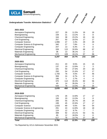



| 2021-2022                                 |       |     |       |                |                  |
|-------------------------------------------|-------|-----|-------|----------------|------------------|
| Aerospace Engineering                     | 227   | 26  | 11.5% | 16             | 16               |
| Bioengineering                            | 159   | 21  | 13.2% | 8              | 8                |
| <b>Chemical Engineering</b>               | 164   | 38  | 23.2% | 16             | 16               |
| <b>Civil Engineering</b>                  | 257   | 50  | 19.5% | 17             | 17               |
| <b>Computer Science</b>                   | 1,996 | 47  | 2.4%  | 29             | 29               |
| <b>Computer Science &amp; Engineering</b> | 340   | 27  | 7.9%  | 9              | $\boldsymbol{9}$ |
| <b>Computer Engineering</b>               | 207   | 13  | 6.3%  | 9              | 8                |
| <b>Electrical Engineering</b>             | 339   | 115 | 33.9% | 68             | 67               |
| <b>Materials Engineering</b>              | 36    | 13  | 36.1% | $\overline{2}$ | $\overline{2}$   |
| <b>Mechanical Engineering</b>             | 572   | 109 | 19.1% | 57             | 56               |
| <b>Total</b>                              | 4,297 | 459 | 10.7% | 231            | 228              |
| 2020-2021                                 |       |     |       |                |                  |
| Aerospace Engineering                     | 211   | 20  | 9.5%  | 15             | 15               |
| Bioengineering                            | 137   | 19  | 13.9% | $\mathfrak{S}$ | $\mathfrak{S}$   |
| <b>Chemical Engineering</b>               | 181   | 50  | 27.6% | 20             | 20               |
| <b>Civil Engineering</b>                  | 250   | 54  | 21.6% | 17             | 17               |
| <b>Computer Science</b>                   | 1,700 | 76  | 4.5%  | 47             | 46               |
| <b>Computer Science &amp; Engineering</b> | 359   | 24  | 6.7%  | 8              | 8                |
| <b>Computer Engineering</b>               | 186   | 5   | 2.7%  | $\overline{4}$ | $\overline{4}$   |
| <b>Electrical Engineering</b>             | 370   | 112 | 30.3% | 60             | 56               |
| <b>Materials Engineering</b>              | 40    | 14  | 35.0% | 3              | 3                |
| <b>Mechanical Engineering</b>             | 544   | 76  | 14.0% | 34             | 34               |
| <b>Total</b>                              | 3,978 | 450 | 11.3% | 211            | 206              |
| 2019-2020                                 |       |     |       |                |                  |
| Aerospace Engineering                     | 176   | 26  | 14.8% | 17             | 17               |
| Bioengineering                            | 150   | 20  | 13.3% | 8              | 8                |
| <b>Chemical Engineering</b>               | 206   | 55  | 26.7% | 25             | 24               |
| <b>Civil Engineering</b>                  | 199   | 45  | 22.6% | 17             | 17               |
| <b>Computer Science</b>                   | 1,633 | 89  | 5.5%  | 54             | 54               |
| <b>Computer Science &amp; Engineering</b> | 291   | 43  | 14.8% | 18             | 18               |
| <b>Computer Engineering</b>               | 124   | 12  | 9.7%  | 7              | $\overline{7}$   |
| <b>Electrical Engineering</b>             | 399   | 92  | 23.1% | 53             | 51               |
| <b>Materials Engineering</b>              | 65    | 12  | 18.5% | 6              | 6                |
| <b>Mechanical Engineering</b>             | 517   | 76  | 14.7% | 27             | 26               |
| <b>Total</b>                              | 3,760 | 470 | 12.5% | 232            | 228              |

\*As Reported by UCLA Admission November 2021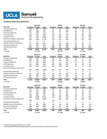

# **Graduate Admission Statistics\***

|                                     |                 | <b>Applicants</b> |              |                 | <b>Admits</b>   |              |                 | <b>Enrolled</b> |              |
|-------------------------------------|-----------------|-------------------|--------------|-----------------|-----------------|--------------|-----------------|-----------------|--------------|
| 2021-2022                           | <b>Domestic</b> | Foreign           | <b>Total</b> | <b>Domestic</b> | Foreign         | <b>Total</b> | <b>Domestic</b> | Foreign         | <b>Total</b> |
| Aerospace Engineering               | 143             | 85                | 228          | 72              | 31              | 103          | 23              | 13              | 36           |
| Bioengineering                      | 231             | 188               | 419          | 84              | 66              | 150          | 31              | 20              | 51           |
| <b>Chemical Engineering</b>         | 78              | 135               | 213          | 21              | 21              | 42           | 16              | 15              | 31           |
| Civil Engineering                   | 144             | 254               | 398          | 122             | 152             | 274          | 63              | 65              | 128          |
| <b>Computer Science</b>             | 780             | 3104              | 3,884        | 122             | 280             | 402          | 58              | 174             | 232          |
| Electrical & Computer Engineering** | 285             | 1448              | 1,733        | 173             | 311             | 484          | 85              | 207             | 292          |
| <b>Manufacturing Engineering</b>    | 0               | 5                 | 5            | 0               | 0               | 0            | 0               | 0               | 0            |
| Materials Science & Engineering     | 67              | 187               | 254          | 44              | 111             | 155          | 13              | 61              | 74           |
| <b>Mechanical Engineering</b>       | 210             | 422               | 632          | 126             | 183             | 309          | 46              | 66              | 112          |
| <b>MS Engineering Online</b>        | 262             | 112               | 374          | 206             | 83              | 289          | 152             | 50              | 202          |
| <b>Total</b>                        | 2,200           | 5,940             | 8,140        | 970             | 1,238           | 2,208        | 487             | 671             | 1,158        |
| % Foreign                           |                 | 72.97%            |              |                 | 56.07%          |              |                 | 57.94%          |              |
|                                     |                 | <b>Applicants</b> |              |                 | <b>Admits</b>   |              |                 | <b>Enrolled</b> |              |
| 2020-2021                           | <b>Domestic</b> | Foreign           | <b>Total</b> | <b>Domestic</b> | Foreign         | <b>Total</b> | <b>Domestic</b> | Foreign         | <b>Total</b> |
| Aerospace Engineering               | 110             | 53                | 163          | 66              | 17              | 83           | 27              | 4               | 31           |
| Bioengineering                      | 192             | 232               | 424          | 103             | 100             | 203          | 25              | 21              | 46           |
| <b>Chemical Engineering</b>         | 79              | 220               | 299          | 23              | 13              | 36           | 15              | 9               | 24           |
| Civil Engineering                   | 131             | 255               | 386          | 113             | 150             | 263          | 48              | 35              | 83           |
| <b>Computer Science</b>             | 485             | 2757              | 3,242        | 69              | 169             | 238          | 37              | 72              | 109          |
| Electrical & Computer Engineering** | 232             | 1621              |              | 152             | 427             | 579          | 52              | 95              | 147          |
| <b>Manufacturing Engineering</b>    |                 |                   | 1,853        |                 |                 |              |                 |                 |              |
|                                     | $\overline{2}$  | 3                 | 5            | 1               | 0               | 1            | 1               | 0               | 1            |
| Materials Science & Engineering     | 84              | 218               | 302          | 51              | 101             | 152          | 13              | 10              | 23           |
| <b>Mechanical Engineering</b>       | 197             | 532               | 729          | 133             | 211             | 344          | 45              | 42              | 87           |
| <b>MS Engineering Online</b>        | 202             | 22                | 224          | 163             | 14              | 177          | 134             | 10              | 144          |
| <b>Total</b><br>% Foreign           | 1,714           | 5,913<br>77.53%   | 7,627        | 874             | 1,202<br>57.90% | 2,076        | 397             | 298<br>42.88%   | 695          |

|                                     |                 | <b>Applicants</b> |              |                 | <b>Admits</b> |              |                 | <b>Enrolled</b> |              |  |
|-------------------------------------|-----------------|-------------------|--------------|-----------------|---------------|--------------|-----------------|-----------------|--------------|--|
| 2019-2020                           | <b>Domestic</b> | Foreign           | <b>Total</b> | <b>Domestic</b> | Foreign       | <b>Total</b> | <b>Domestic</b> | Foreign         | <b>Total</b> |  |
| Aerospace Engineering               | 88              | 50                | 138          | 46              | 9             | 55           | 16              | 3               | 19           |  |
| Bioengineering                      | 225             | 225               | 450          | 72              | 48            | 120          | 17              | 16              | 33           |  |
| <b>Chemical Engineering</b>         | 94              | 251               | 345          | 20              | 33            | 53           | 5               | 22              | 27           |  |
| Civil Engineering                   | 143             | 288               | 431          | 115             | 154           | 269          | 35              | 49              | 84           |  |
| <b>Computer Science</b>             | 455             | 2.556             | 3.011        | 113             | 197           | 310          | 53              | 111             | 164          |  |
| Electrical & Computer Engineering** | 235             | 1,644             | 1,879        | 132             | 397           | 529          | 42              | 139             | 181          |  |
| <b>Manufacturing Engineering</b>    | 3               | 2                 | 5            | 2               | 0             | 2            |                 | 0               |              |  |
| Materials Science & Engineering     | 65              | 303               | 368          | 38              | 84            | 122          | 6               | 22              | 28           |  |
| <b>Mechanical Engineering</b>       | 196             | 493               | 689          | 102             | 147           | 249          | 21              | 34              | 55           |  |
| <b>MS Engineering Online</b>        | 194             | 19                | 213          | 149             | 10            | 159          | 100             |                 | 107          |  |
| <b>Total</b>                        | 1,698           | 5,831             | 7,529        | 789             | 1,079         | 1,868        | 296             | 403             | 699          |  |
| % Foreign                           |                 | 77.45%            |              |                 | 57.76%        |              |                 | 57.65%          |              |  |

*\*As reported by go.grad.ucla.edu on 11/17/2021*

\*\* Starting Fall 2018 Electrical Engineering was renamed Electrical and Computer Engineering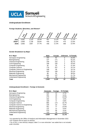

# **Undergraduate Enrollment**

# **Foreign Students, Minorities, and Women\***

|        | Movied<br>$\mathcal{F}$ | Ennolled | <b>E</b> BRIDE<br><b>POID</b> | ي.<br>Employed | Minorities<br>š. | Employed | Loteida<br>Š, |
|--------|-------------------------|----------|-------------------------------|----------------|------------------|----------|---------------|
| 2021   | 4,081                   | 1,219    | 29.9%                         | 497            | 12.2%            | 455      | 11.1%         |
| 2020** | 3,958                   | 1,138    | 28.8%                         | 435            | 11.0%            | 475      | 12.0%         |
| 2019   | 3,956                   | 1097     | 27.7%                         | 446            | 11.3%            | 495      | 12.5%         |

### **Gender Breakdown by Major**

| <b>B.S. Major</b>              | Male  | Female | <b>Unknown</b> | % Female |
|--------------------------------|-------|--------|----------------|----------|
| Aerospace Engineering          | 192   | 62     | 0              | 24.4%    |
| Bioengineering                 | 137   | 171    | 2              | 55.2%    |
| <b>Chemical Engineering</b>    | 159   | 152    |                | 48.7%    |
| Civil Engineering              | 199   | 155    | 2              | 43.5%    |
| <b>Computer Engineering</b>    | 92    | 25     | 0              | 21.4%    |
| <b>Computer Science</b>        | 776   | 257    | 6              | 24.7%    |
| Computer Science & Engineering | 198   | 49     | 2              | 19.7%    |
| <b>Electrical Engineering</b>  | 420   | 106    | 2              | 20.1%    |
| <b>Materials Engineering</b>   | 86    | 55     | 2              | 38.5%    |
| <b>Mechanical Engineering</b>  | 491   | 137    | $\overline{4}$ | 21.7%    |
| Undeclared Engineering         | 90    | 50     |                | 35.5%    |
| <b>Total</b>                   | 2,840 | 1.219  | 22             | 29.9%    |

### **Undergraduate Enrollment - Foreign & Domestic**

| <b>B.S. Major</b>              | <b>Domestic</b> | Foreign | % Foreign |
|--------------------------------|-----------------|---------|-----------|
| Aerospace Engineering          | 242             | 12      | 4.7%      |
| Bioengineering                 | 291             | 19      | 6.1%      |
| <b>Chemical Engineering</b>    | 270             | 42      | 13.5%     |
| Civil Engineering              | 344             | 12      | 3.4%      |
| <b>Computer Engineering</b>    | 109             | 8       | 6.8%      |
| <b>Computer Science</b>        | 865             | 174     | 16.7%     |
| Computer Science & Engineering | 226             | 23      | 9.2%      |
| <b>Electrical Engineering</b>  | 451             | 77      | 14.6%     |
| <b>Materials Engineering</b>   | 131             | 12      | 8.4%      |
| <b>Mechanical Engineering</b>  | 574             | 58      | 9.2%      |
| Undeclared Engineering         | 123             | 18      | 12.8%     |
| <b>Total</b>                   | 3,626           | 455     | 11.1%     |

*\* As reported by the Office of Analysis and Information Management in November 2021*

*\*\*207 Students did not report an ethnicity*

*\*\*\*As of 2011, a new ethnicity category called "2 or more ethnicities" was added that is not included under minorities*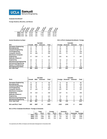

**Graduate Enrollment\***

**Foreign Students, Minorities, and Women**



|                                  |               |      | <b>Fall 2021</b> |          |                |                 | <b>Fall 2021</b> |          |
|----------------------------------|---------------|------|------------------|----------|----------------|-----------------|------------------|----------|
| M.S.                             | <b>Female</b> | Male | <b>Unknown</b>   | Total    | <b>Foreign</b> | <b>Domestic</b> | <b>Unknown</b>   | Tota     |
| <b>Aerospace Engineering</b>     |               | 36   | 0                | 37       | 8              | 29              |                  | 37       |
| <b>Bioengineering</b>            | 24            | 27   | 0                | 51       | 16             | 35              | $\Omega$         | 51       |
| <b>Chemical Engineering</b>      | 10            | 17   | $\Omega$         | 27       | 12             | 15              | $\Omega$         | 27       |
| <b>Civil Engineering</b>         | 43            | 65   |                  | 109      | 50             | 59              | $\Omega$         | 109      |
| <b>Computer Science</b>          | 64            | 168  | 0                | 232      | 161            | 71              | $\Omega$         | 232      |
| <b>Electrical &amp; Computer</b> |               |      |                  |          |                |                 |                  |          |
| Engineering                      | 57            | 239  |                  | 297      | 202            | 95              | $\Omega$         | 297      |
| <b>Materials Science &amp;</b>   |               |      |                  |          |                |                 |                  |          |
| <b>Engineering</b>               | 20            | 23   | 0                | 43       | 33             | 10              |                  | 43       |
| <b>Manufacturing Engineering</b> | $\Omega$      | 0    | 0                | $\Omega$ | $\Omega$       | 0               | $\Omega$         | $\Omega$ |
| <b>Mechanical Engineering</b>    | 9             | 67   | $\Omega$         | 76       | 35             | 41              |                  | 76       |
| <b>Masters of Engineering</b>    | 6             | 29   | 0                | 35       | 26             | 9               |                  | 35       |
| <b>MS Engineering Online</b>     | 134           | 345  | 0                | 479      | 29             | 450             | 0                | 479      |
| M.S. Sub-Total                   | 368           | 1016 | $\overline{2}$   | 1386     | 572            | 814             | 0                | 1386     |

#### **Gender Breakdown by Major M.S. & Ph.D. Graduate Enrollment– Foreign**

|          |                          | <b>Fall 2021</b> |       |
|----------|--------------------------|------------------|-------|
|          | Foreign Domestic Unknown |                  | Total |
| 8        | 29                       | 0                | 37    |
| 16       | 35                       | 0                | 51    |
| 12       | 15                       | 0                | 27    |
| 50       | 59                       | 0                | 109   |
| 161      | 71                       | 0                | 232   |
| 202      | 95                       | 0                | 297   |
| 33       | 10                       | 0                | 43    |
| $\Omega$ | 0                        | 0                | 0     |
| 35       | 41                       | 0                | 76    |
| 26       | 9                        | 0                | 35    |
| 29       | 450                      | 0                | 479   |
| 572      | 814                      | 0                | 1386  |

|                                  | <b>Fall 2021</b> |      |                |       |  | <b>Fall 2021</b> |      |                         |          |  |
|----------------------------------|------------------|------|----------------|-------|--|------------------|------|-------------------------|----------|--|
| Ph.D.                            | <b>Female</b>    | Male | <b>Unknown</b> | Total |  | Foreign          |      | <b>Domestic Unknown</b> | Total    |  |
| <b>Aerospace Engineering</b>     | 6                | 32   | 0              | 38    |  | 9                | 29   | 0                       | 38       |  |
| <b>Bioengineering</b>            | 49               | 73   |                | 123   |  | 67               | 56   | 0                       | 123      |  |
| <b>Chemical Engineering</b>      | 23               | 54   |                | 78    |  | 42               | 36   | 0                       | 78       |  |
| <b>Civil Engineering</b>         | 33               | 70   | 0              | 103   |  | 69               | 34   | 0                       | 103      |  |
| <b>Computer Science</b>          | 47               | 149  | 1              | 197   |  | 147              | 50   | 0                       | 197      |  |
| <b>Electrical &amp; Computer</b> |                  |      |                |       |  |                  |      |                         |          |  |
| Engineering                      | 39               | 218  | 1              | 258   |  | 197              | 61   | $\mathbf 0$             | 258      |  |
| <b>Materials Science &amp;</b>   |                  |      |                |       |  |                  |      |                         |          |  |
| Engineering                      | 31               | 90   | $\Omega$       | 121   |  | 79               | 42   | 0                       | 121      |  |
| <b>Manufacturing Engineering</b> | $\Omega$         | 0    | 0              | 0     |  | $\Omega$         | 0    | 0                       | $\Omega$ |  |
| <b>Mechanical Engineering</b>    | 34               | 165  | 0              | 199   |  | 128              | 71   | 0                       | 199      |  |
| Ph.D. Sub-Total                  | 262              | 851  | 4              | 1117  |  | 738              | 379  | 0                       | 1117     |  |
| M.S. and Ph.D. Total             | 630              | 1867 | 6              | 2503  |  | 1310             | 1193 | 0                       | 2503     |  |

**M.S. & Ph.D. Graduate Enrollment– Foreign & Domestic** 

|      |             | Total | Foreign |       | <b>Domestic</b> |       | Total            |      |
|------|-------------|-------|---------|-------|-----------------|-------|------------------|------|
|      | <b>M.S.</b> | Ph.D. | M.S.    | Ph.D. | M.S.            | Ph.D. | Domestic Foreign |      |
| 2021 | 1386        | 1117  | 572     | 738   | 814             | 379   | 1193             | 1310 |
| 2020 | 1100        | 1088  | 382     | 706   | 718             | 382   | 1100             | 1088 |
| 2019 | 1110        | 1083  | 479     | 734   | 631             | 349   | 980              | 1213 |

*\*As reported by the Office of Analysis and Information Management in November 2021*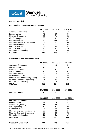

# **Degrees Awarded**

# **Undergraduate Degrees Awarded by Major\***

|                                           | 2018-2019 | 2019-2020 | 2020-2021 |
|-------------------------------------------|-----------|-----------|-----------|
| Aerospace Engineering                     | 43        | 55        | 56        |
| Bioengineering                            | 72        | 59        | 80        |
| <b>Chemical Engineering</b>               | 86        | 71        | 82        |
| Civil Engineering                         | 65        | 91        | 67        |
| <b>Computer Science</b>                   | 247       | 286       | 345       |
| <b>Computer Science &amp; Engineering</b> | 52        | 51        | 59        |
| <b>Computer Engineering</b>               | 4         | 21        | 34        |
| <b>Electrical Engineering</b>             | 149       | 150       | 142       |
| <b>Materials Engineering</b>              | 20        | 27        | 30        |
| <b>Mechanical Engineering</b>             | 154       | 129       | 156       |
| <b>B.S. Total</b>                         | 892       | 940       | 1051      |

# **Graduate Degrees Awarded by Major**

|                                            | 2018-2019 | 2019-2020 | 2020-2021 |
|--------------------------------------------|-----------|-----------|-----------|
| Aerospace Engineering                      |           | 16        | 6         |
| Bioengineering                             | 19        | 21        | 25        |
| <b>Chemical Engineering</b>                | 9         | 6         | 22        |
| Civil Engineering                          | 95        | 75        | 67        |
| <b>Computer Science</b>                    | 161       | 130       | 138       |
| <b>MS Engineering Online</b>               | 129       | 117       | 159       |
| <b>Electrical and Computer Engineering</b> | 209       | 114       | 166       |
| Materials Science & Engineering            | 27        | 27        | 21        |
| <b>Mechanical Engineering</b>              | 76        | 58        | 41        |
| M.S. Total                                 | 732       | 564       | 645       |

|                        | 2018-2019 | 2019-2020 | 2020-2021 |  |
|------------------------|-----------|-----------|-----------|--|
| <b>Engineer Degree</b> |           |           |           |  |

|                                              | 2018-2019 | 2019-2020 | 2020-2021 |
|----------------------------------------------|-----------|-----------|-----------|
| Aerospace Engineering                        | 3         | 3         | 4         |
| Bioengineering                               | 21        | 19        | 21        |
| <b>Chemical Engineering</b>                  | 17        | 22        | 16        |
| Civil Engineering                            | 13        | 8         | 23        |
| <b>Computer Science</b>                      | 24        | 20        | 30        |
| <b>Electrical Engineering &amp; Computer</b> | 39        | 33        | 2         |
| Materials Science & Engineering              | 23        | 24        | 32        |
| <b>Mechanical Engineering</b>                | 18        | 31        | 16        |
| Ph.D. Total                                  | 158       | 160       | 144       |
| <b>Graduate Degree Total</b>                 | 890       | 725       | 789       |

*\*As reported by the Office of Analysis and Information Management in November 2021*